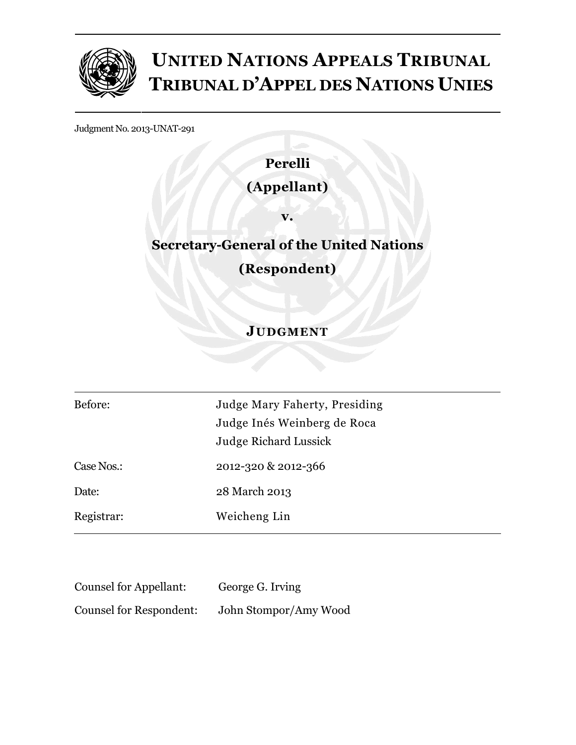

# **UNITED NATIONS APPEALS TRIBUNAL TRIBUNAL D'APPEL DES NATIONS UNIES**

Judgment No. 2013-UNAT-291

### **Perelli**

### **(Appellant)**

**v.** 

## **Secretary-General of the United Nations**

**(Respondent)** 

### **JUDGMENT**

| Before:    | Judge Mary Faherty, Presiding |
|------------|-------------------------------|
|            | Judge Inés Weinberg de Roca   |
|            | <b>Judge Richard Lussick</b>  |
| Case Nos.: | 2012-320 & 2012-366           |
| Date:      | 28 March 2013                 |
| Registrar: | Weicheng Lin                  |
|            |                               |

| <b>Counsel for Appellant:</b>  | George G. Irving      |
|--------------------------------|-----------------------|
| <b>Counsel for Respondent:</b> | John Stompor/Amy Wood |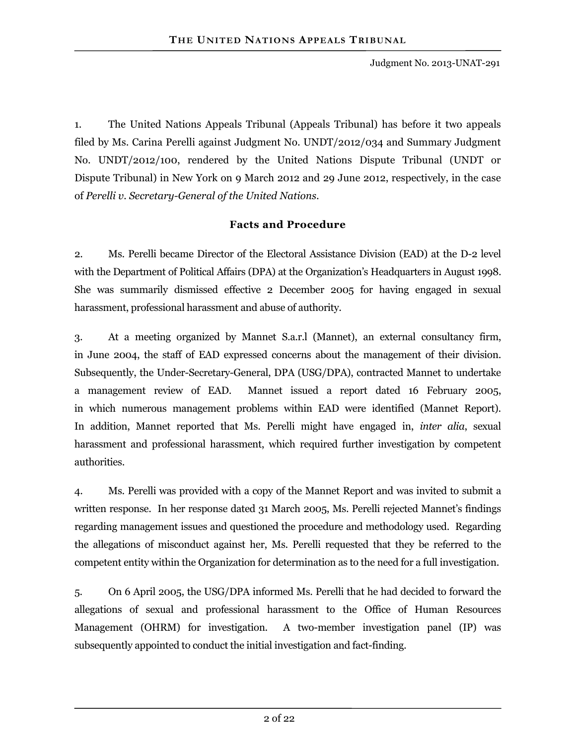1. The United Nations Appeals Tribunal (Appeals Tribunal) has before it two appeals filed by Ms. Carina Perelli against Judgment No. UNDT/2012/034 and Summary Judgment No. UNDT/2012/100, rendered by the United Nations Dispute Tribunal (UNDT or Dispute Tribunal) in New York on 9 March 2012 and 29 June 2012, respectively, in the case of *Perelli v. Secretary-General of the United Nations*.

#### **Facts and Procedure**

2. Ms. Perelli became Director of the Electoral Assistance Division (EAD) at the D-2 level with the Department of Political Affairs (DPA) at the Organization's Headquarters in August 1998. She was summarily dismissed effective 2 December 2005 for having engaged in sexual harassment, professional harassment and abuse of authority.

3. At a meeting organized by Mannet S.a.r.l (Mannet), an external consultancy firm, in June 2004, the staff of EAD expressed concerns about the management of their division. Subsequently, the Under-Secretary-General, DPA (USG/DPA), contracted Mannet to undertake a management review of EAD. Mannet issued a report dated 16 February 2005, in which numerous management problems within EAD were identified (Mannet Report). In addition, Mannet reported that Ms. Perelli might have engaged in, *inter alia*, sexual harassment and professional harassment, which required further investigation by competent authorities.

4. Ms. Perelli was provided with a copy of the Mannet Report and was invited to submit a written response. In her response dated 31 March 2005, Ms. Perelli rejected Mannet's findings regarding management issues and questioned the procedure and methodology used. Regarding the allegations of misconduct against her, Ms. Perelli requested that they be referred to the competent entity within the Organization for determination as to the need for a full investigation.

5. On 6 April 2005, the USG/DPA informed Ms. Perelli that he had decided to forward the allegations of sexual and professional harassment to the Office of Human Resources Management (OHRM) for investigation. A two-member investigation panel (IP) was subsequently appointed to conduct the initial investigation and fact-finding.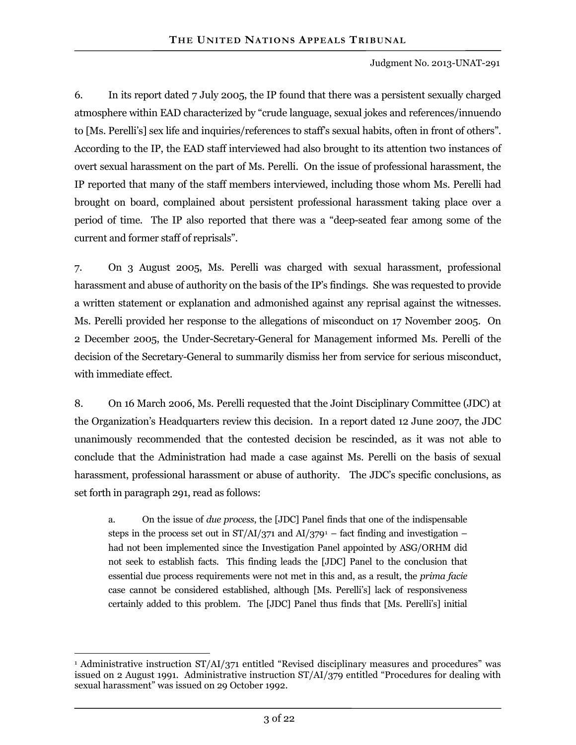6. In its report dated 7 July 2005, the IP found that there was a persistent sexually charged atmosphere within EAD characterized by "crude language, sexual jokes and references/innuendo to [Ms. Perelli's] sex life and inquiries/references to staff's sexual habits, often in front of others". According to the IP, the EAD staff interviewed had also brought to its attention two instances of overt sexual harassment on the part of Ms. Perelli. On the issue of professional harassment, the IP reported that many of the staff members interviewed, including those whom Ms. Perelli had brought on board, complained about persistent professional harassment taking place over a period of time. The IP also reported that there was a "deep-seated fear among some of the current and former staff of reprisals".

7. On 3 August 2005, Ms. Perelli was charged with sexual harassment, professional harassment and abuse of authority on the basis of the IP's findings. She was requested to provide a written statement or explanation and admonished against any reprisal against the witnesses. Ms. Perelli provided her response to the allegations of misconduct on 17 November 2005. On 2 December 2005, the Under-Secretary-General for Management informed Ms. Perelli of the decision of the Secretary-General to summarily dismiss her from service for serious misconduct, with immediate effect.

8. On 16 March 2006, Ms. Perelli requested that the Joint Disciplinary Committee (JDC) at the Organization's Headquarters review this decision. In a report dated 12 June 2007, the JDC unanimously recommended that the contested decision be rescinded, as it was not able to conclude that the Administration had made a case against Ms. Perelli on the basis of sexual harassment, professional harassment or abuse of authority. The JDC's specific conclusions, as set forth in paragraph 291, read as follows:

a. On the issue of *due process*, the [JDC] Panel finds that one of the indispensable steps in the process set out in  $ST/AI/371$  and  $AI/379$ <sup>1</sup> – fact finding and investigation – had not been implemented since the Investigation Panel appointed by ASG/ORHM did not seek to establish facts. This finding leads the [JDC] Panel to the conclusion that essential due process requirements were not met in this and, as a result, the *prima facie* case cannot be considered established, although [Ms. Perelli's] lack of responsiveness certainly added to this problem. The [JDC] Panel thus finds that [Ms. Perelli's] initial

 $\overline{a}$ 

<sup>1</sup> Administrative instruction ST/AI/371 entitled "Revised disciplinary measures and procedures" was issued on 2 August 1991. Administrative instruction ST/AI/379 entitled "Procedures for dealing with sexual harassment" was issued on 29 October 1992.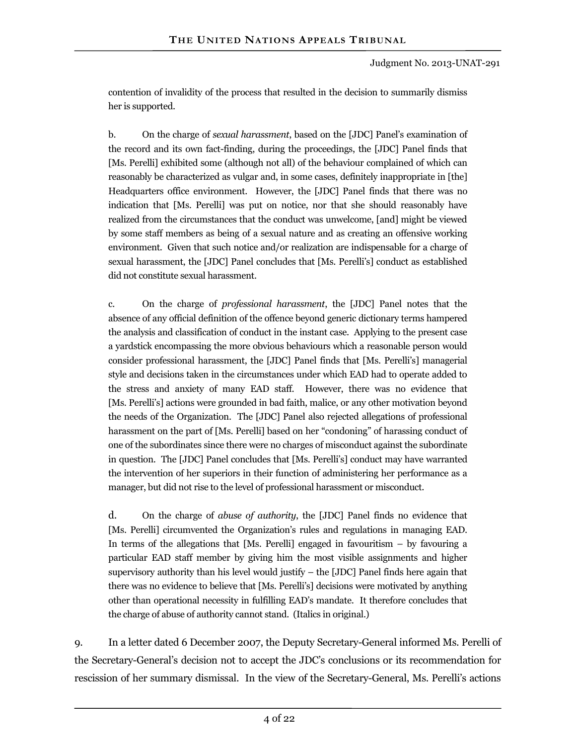contention of invalidity of the process that resulted in the decision to summarily dismiss her is supported.

b. On the charge of *sexual harassment*, based on the [JDC] Panel's examination of the record and its own fact-finding, during the proceedings, the [JDC] Panel finds that [Ms. Perelli] exhibited some (although not all) of the behaviour complained of which can reasonably be characterized as vulgar and, in some cases, definitely inappropriate in [the] Headquarters office environment. However, the [JDC] Panel finds that there was no indication that [Ms. Perelli] was put on notice, nor that she should reasonably have realized from the circumstances that the conduct was unwelcome, [and] might be viewed by some staff members as being of a sexual nature and as creating an offensive working environment. Given that such notice and/or realization are indispensable for a charge of sexual harassment, the [JDC] Panel concludes that [Ms. Perelli's] conduct as established did not constitute sexual harassment.

c. On the charge of *professional harassment*, the [JDC] Panel notes that the absence of any official definition of the offence beyond generic dictionary terms hampered the analysis and classification of conduct in the instant case. Applying to the present case a yardstick encompassing the more obvious behaviours which a reasonable person would consider professional harassment, the [JDC] Panel finds that [Ms. Perelli's] managerial style and decisions taken in the circumstances under which EAD had to operate added to the stress and anxiety of many EAD staff. However, there was no evidence that [Ms. Perelli's] actions were grounded in bad faith, malice, or any other motivation beyond the needs of the Organization. The [JDC] Panel also rejected allegations of professional harassment on the part of [Ms. Perelli] based on her "condoning" of harassing conduct of one of the subordinates since there were no charges of misconduct against the subordinate in question. The [JDC] Panel concludes that [Ms. Perelli's] conduct may have warranted the intervention of her superiors in their function of administering her performance as a manager, but did not rise to the level of professional harassment or misconduct.

d. On the charge of *abuse of authority*, the [JDC] Panel finds no evidence that [Ms. Perelli] circumvented the Organization's rules and regulations in managing EAD. In terms of the allegations that [Ms. Perelli] engaged in favouritism – by favouring a particular EAD staff member by giving him the most visible assignments and higher supervisory authority than his level would justify – the [JDC] Panel finds here again that there was no evidence to believe that [Ms. Perelli's] decisions were motivated by anything other than operational necessity in fulfilling EAD's mandate. It therefore concludes that the charge of abuse of authority cannot stand. (Italics in original.)

9. In a letter dated 6 December 2007, the Deputy Secretary-General informed Ms. Perelli of the Secretary-General's decision not to accept the JDC's conclusions or its recommendation for rescission of her summary dismissal. In the view of the Secretary-General, Ms. Perelli's actions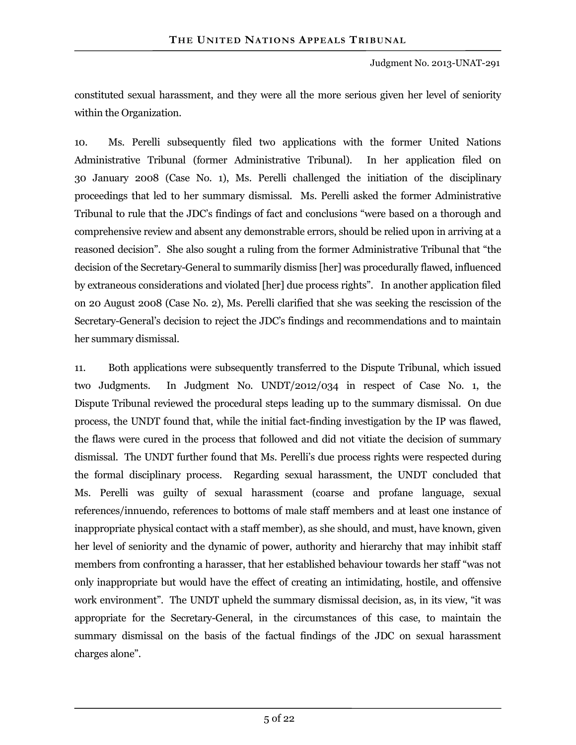Judgment No. 2013-UNAT-291

constituted sexual harassment, and they were all the more serious given her level of seniority within the Organization.

10. Ms. Perelli subsequently filed two applications with the former United Nations Administrative Tribunal (former Administrative Tribunal). In her application filed 0n 30 January 2008 (Case No. 1), Ms. Perelli challenged the initiation of the disciplinary proceedings that led to her summary dismissal. Ms. Perelli asked the former Administrative Tribunal to rule that the JDC's findings of fact and conclusions "were based on a thorough and comprehensive review and absent any demonstrable errors, should be relied upon in arriving at a reasoned decision". She also sought a ruling from the former Administrative Tribunal that "the decision of the Secretary-General to summarily dismiss [her] was procedurally flawed, influenced by extraneous considerations and violated [her] due process rights". In another application filed on 20 August 2008 (Case No. 2), Ms. Perelli clarified that she was seeking the rescission of the Secretary-General's decision to reject the JDC's findings and recommendations and to maintain her summary dismissal.

11. Both applications were subsequently transferred to the Dispute Tribunal, which issued two Judgments. In Judgment No. UNDT/2012/034 in respect of Case No. 1, the Dispute Tribunal reviewed the procedural steps leading up to the summary dismissal. On due process, the UNDT found that, while the initial fact-finding investigation by the IP was flawed, the flaws were cured in the process that followed and did not vitiate the decision of summary dismissal. The UNDT further found that Ms. Perelli's due process rights were respected during the formal disciplinary process. Regarding sexual harassment, the UNDT concluded that Ms. Perelli was guilty of sexual harassment (coarse and profane language, sexual references/innuendo, references to bottoms of male staff members and at least one instance of inappropriate physical contact with a staff member), as she should, and must, have known, given her level of seniority and the dynamic of power, authority and hierarchy that may inhibit staff members from confronting a harasser, that her established behaviour towards her staff "was not only inappropriate but would have the effect of creating an intimidating, hostile, and offensive work environment". The UNDT upheld the summary dismissal decision, as, in its view, "it was appropriate for the Secretary-General, in the circumstances of this case, to maintain the summary dismissal on the basis of the factual findings of the JDC on sexual harassment charges alone".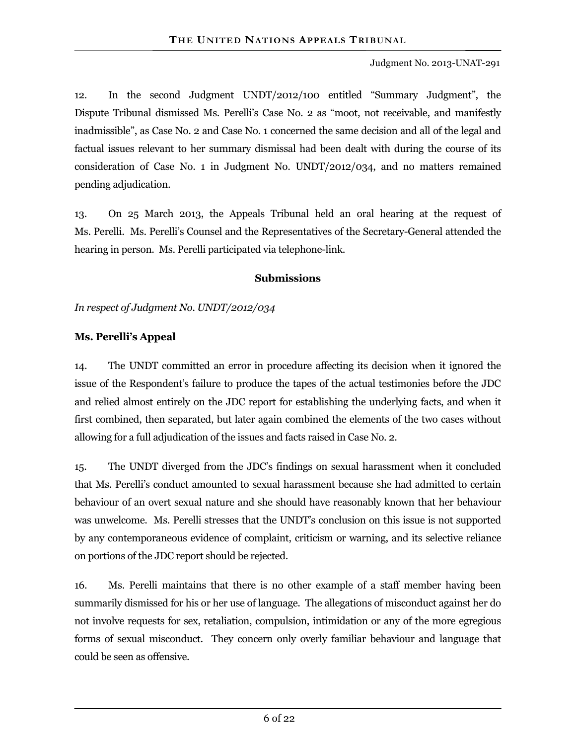Judgment No. 2013-UNAT-291

12. In the second Judgment UNDT/2012/100 entitled "Summary Judgment", the Dispute Tribunal dismissed Ms. Perelli's Case No. 2 as "moot, not receivable, and manifestly inadmissible", as Case No. 2 and Case No. 1 concerned the same decision and all of the legal and factual issues relevant to her summary dismissal had been dealt with during the course of its consideration of Case No. 1 in Judgment No. UNDT/2012/034, and no matters remained pending adjudication.

13. On 25 March 2013, the Appeals Tribunal held an oral hearing at the request of Ms. Perelli. Ms. Perelli's Counsel and the Representatives of the Secretary-General attended the hearing in person. Ms. Perelli participated via telephone-link.

#### **Submissions**

*In respect of Judgment No. UNDT/2012/034* 

#### **Ms. Perelli's Appeal**

14. The UNDT committed an error in procedure affecting its decision when it ignored the issue of the Respondent's failure to produce the tapes of the actual testimonies before the JDC and relied almost entirely on the JDC report for establishing the underlying facts, and when it first combined, then separated, but later again combined the elements of the two cases without allowing for a full adjudication of the issues and facts raised in Case No. 2.

15. The UNDT diverged from the JDC's findings on sexual harassment when it concluded that Ms. Perelli's conduct amounted to sexual harassment because she had admitted to certain behaviour of an overt sexual nature and she should have reasonably known that her behaviour was unwelcome. Ms. Perelli stresses that the UNDT's conclusion on this issue is not supported by any contemporaneous evidence of complaint, criticism or warning, and its selective reliance on portions of the JDC report should be rejected.

16. Ms. Perelli maintains that there is no other example of a staff member having been summarily dismissed for his or her use of language. The allegations of misconduct against her do not involve requests for sex, retaliation, compulsion, intimidation or any of the more egregious forms of sexual misconduct. They concern only overly familiar behaviour and language that could be seen as offensive.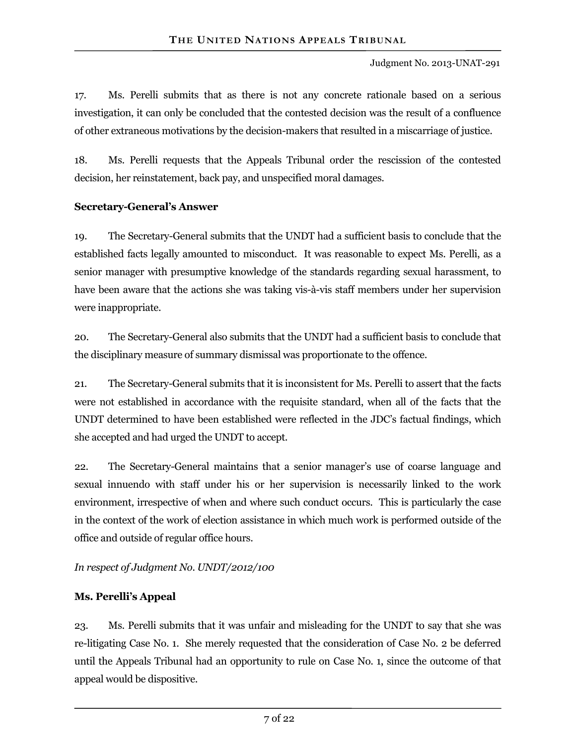17. Ms. Perelli submits that as there is not any concrete rationale based on a serious investigation, it can only be concluded that the contested decision was the result of a confluence of other extraneous motivations by the decision-makers that resulted in a miscarriage of justice.

18. Ms. Perelli requests that the Appeals Tribunal order the rescission of the contested decision, her reinstatement, back pay, and unspecified moral damages.

#### **Secretary-General's Answer**

19. The Secretary-General submits that the UNDT had a sufficient basis to conclude that the established facts legally amounted to misconduct. It was reasonable to expect Ms. Perelli, as a senior manager with presumptive knowledge of the standards regarding sexual harassment, to have been aware that the actions she was taking vis-à-vis staff members under her supervision were inappropriate.

20. The Secretary-General also submits that the UNDT had a sufficient basis to conclude that the disciplinary measure of summary dismissal was proportionate to the offence.

21. The Secretary-General submits that it is inconsistent for Ms. Perelli to assert that the facts were not established in accordance with the requisite standard, when all of the facts that the UNDT determined to have been established were reflected in the JDC's factual findings, which she accepted and had urged the UNDT to accept.

22. The Secretary-General maintains that a senior manager's use of coarse language and sexual innuendo with staff under his or her supervision is necessarily linked to the work environment, irrespective of when and where such conduct occurs. This is particularly the case in the context of the work of election assistance in which much work is performed outside of the office and outside of regular office hours.

#### *In respect of Judgment No. UNDT/2012/100*

#### **Ms. Perelli's Appeal**

23. Ms. Perelli submits that it was unfair and misleading for the UNDT to say that she was re-litigating Case No. 1. She merely requested that the consideration of Case No. 2 be deferred until the Appeals Tribunal had an opportunity to rule on Case No. 1, since the outcome of that appeal would be dispositive.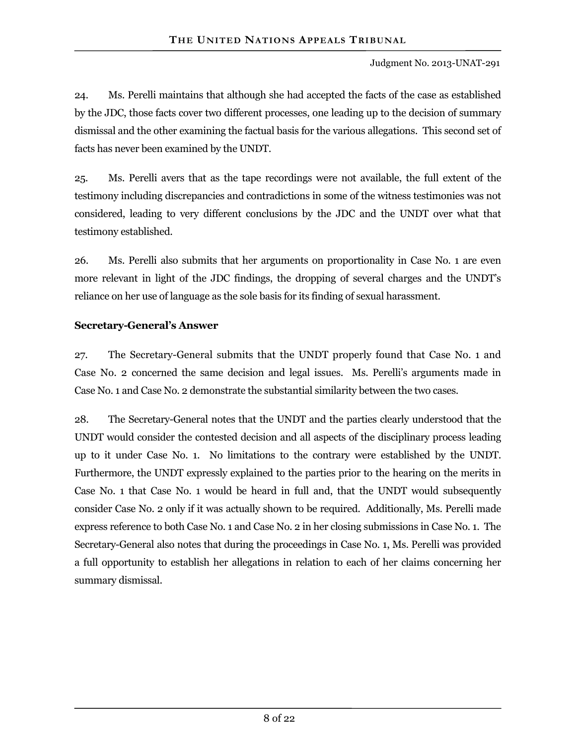24. Ms. Perelli maintains that although she had accepted the facts of the case as established by the JDC, those facts cover two different processes, one leading up to the decision of summary dismissal and the other examining the factual basis for the various allegations. This second set of facts has never been examined by the UNDT.

25. Ms. Perelli avers that as the tape recordings were not available, the full extent of the testimony including discrepancies and contradictions in some of the witness testimonies was not considered, leading to very different conclusions by the JDC and the UNDT over what that testimony established.

26. Ms. Perelli also submits that her arguments on proportionality in Case No. 1 are even more relevant in light of the JDC findings, the dropping of several charges and the UNDT's reliance on her use of language as the sole basis for its finding of sexual harassment.

#### **Secretary-General's Answer**

27. The Secretary-General submits that the UNDT properly found that Case No. 1 and Case No. 2 concerned the same decision and legal issues. Ms. Perelli's arguments made in Case No. 1 and Case No. 2 demonstrate the substantial similarity between the two cases.

28. The Secretary-General notes that the UNDT and the parties clearly understood that the UNDT would consider the contested decision and all aspects of the disciplinary process leading up to it under Case No. 1. No limitations to the contrary were established by the UNDT. Furthermore, the UNDT expressly explained to the parties prior to the hearing on the merits in Case No. 1 that Case No. 1 would be heard in full and, that the UNDT would subsequently consider Case No. 2 only if it was actually shown to be required. Additionally, Ms. Perelli made express reference to both Case No. 1 and Case No. 2 in her closing submissions in Case No. 1. The Secretary-General also notes that during the proceedings in Case No. 1, Ms. Perelli was provided a full opportunity to establish her allegations in relation to each of her claims concerning her summary dismissal.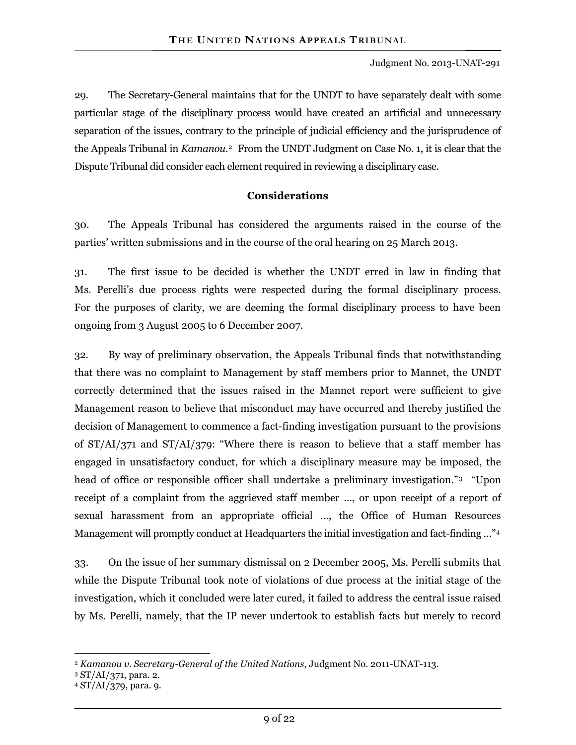29. The Secretary-General maintains that for the UNDT to have separately dealt with some particular stage of the disciplinary process would have created an artificial and unnecessary separation of the issues, contrary to the principle of judicial efficiency and the jurisprudence of the Appeals Tribunal in *Kamanou.*2 From the UNDT Judgment on Case No. 1, it is clear that the Dispute Tribunal did consider each element required in reviewing a disciplinary case.

#### **Considerations**

30. The Appeals Tribunal has considered the arguments raised in the course of the parties' written submissions and in the course of the oral hearing on 25 March 2013.

31. The first issue to be decided is whether the UNDT erred in law in finding that Ms. Perelli's due process rights were respected during the formal disciplinary process. For the purposes of clarity, we are deeming the formal disciplinary process to have been ongoing from 3 August 2005 to 6 December 2007.

32. By way of preliminary observation, the Appeals Tribunal finds that notwithstanding that there was no complaint to Management by staff members prior to Mannet, the UNDT correctly determined that the issues raised in the Mannet report were sufficient to give Management reason to believe that misconduct may have occurred and thereby justified the decision of Management to commence a fact-finding investigation pursuant to the provisions of ST/AI/371 and ST/AI/379: "Where there is reason to believe that a staff member has engaged in unsatisfactory conduct, for which a disciplinary measure may be imposed, the head of office or responsible officer shall undertake a preliminary investigation."3 "Upon receipt of a complaint from the aggrieved staff member …, or upon receipt of a report of sexual harassment from an appropriate official …, the Office of Human Resources Management will promptly conduct at Headquarters the initial investigation and fact-finding …"4

33. On the issue of her summary dismissal on 2 December 2005, Ms. Perelli submits that while the Dispute Tribunal took note of violations of due process at the initial stage of the investigation, which it concluded were later cured, it failed to address the central issue raised by Ms. Perelli, namely, that the IP never undertook to establish facts but merely to record

 $\overline{a}$ 

<sup>2</sup> *Kamanou v. Secretary-General of the United Nations*, Judgment No. 2011-UNAT-113.

<sup>3</sup> ST/AI/371, para. 2.

<sup>4</sup> ST/AI/379, para. 9.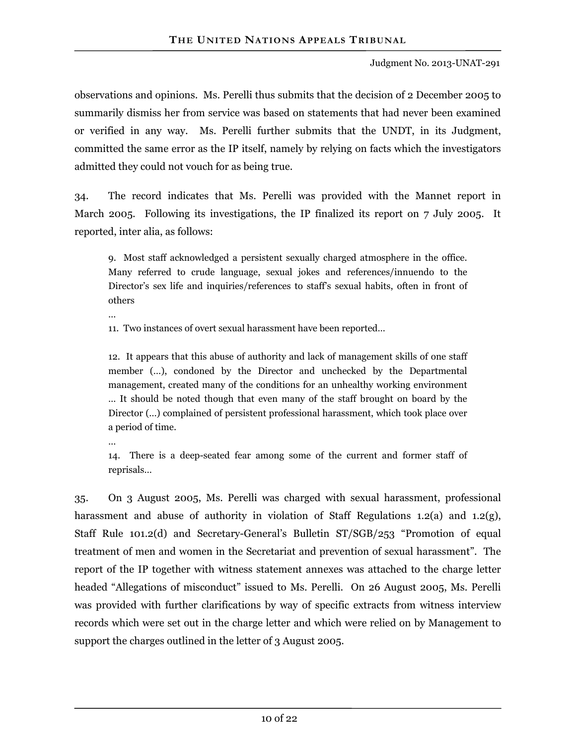observations and opinions. Ms. Perelli thus submits that the decision of 2 December 2005 to summarily dismiss her from service was based on statements that had never been examined or verified in any way. Ms. Perelli further submits that the UNDT, in its Judgment, committed the same error as the IP itself, namely by relying on facts which the investigators admitted they could not vouch for as being true.

34. The record indicates that Ms. Perelli was provided with the Mannet report in March 2005. Following its investigations, the IP finalized its report on  $7 \text{ July } 2005$ . It reported, inter alia, as follows:

9. Most staff acknowledged a persistent sexually charged atmosphere in the office. Many referred to crude language, sexual jokes and references/innuendo to the Director's sex life and inquiries/references to staff's sexual habits, often in front of others

…

11. Two instances of overt sexual harassment have been reported…

12. It appears that this abuse of authority and lack of management skills of one staff member (…), condoned by the Director and unchecked by the Departmental management, created many of the conditions for an unhealthy working environment … It should be noted though that even many of the staff brought on board by the Director (…) complained of persistent professional harassment, which took place over a period of time.

…

14. There is a deep-seated fear among some of the current and former staff of reprisals…

35. On 3 August 2005, Ms. Perelli was charged with sexual harassment, professional harassment and abuse of authority in violation of Staff Regulations 1.2(a) and 1.2(g), Staff Rule 101.2(d) and Secretary-General's Bulletin ST/SGB/253 "Promotion of equal treatment of men and women in the Secretariat and prevention of sexual harassment". The report of the IP together with witness statement annexes was attached to the charge letter headed "Allegations of misconduct" issued to Ms. Perelli. On 26 August 2005, Ms. Perelli was provided with further clarifications by way of specific extracts from witness interview records which were set out in the charge letter and which were relied on by Management to support the charges outlined in the letter of 3 August 2005.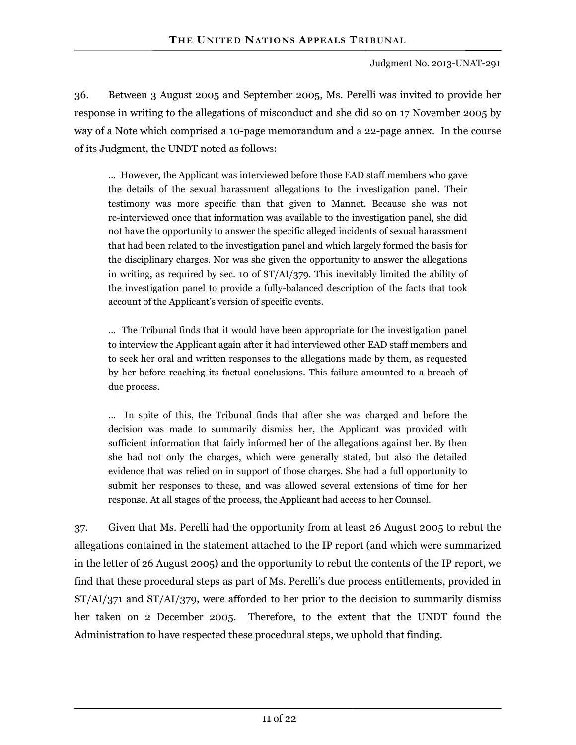36. Between 3 August 2005 and September 2005, Ms. Perelli was invited to provide her response in writing to the allegations of misconduct and she did so on 17 November 2005 by way of a Note which comprised a 10-page memorandum and a 22-page annex. In the course of its Judgment, the UNDT noted as follows:

… However, the Applicant was interviewed before those EAD staff members who gave the details of the sexual harassment allegations to the investigation panel. Their testimony was more specific than that given to Mannet. Because she was not re-interviewed once that information was available to the investigation panel, she did not have the opportunity to answer the specific alleged incidents of sexual harassment that had been related to the investigation panel and which largely formed the basis for the disciplinary charges. Nor was she given the opportunity to answer the allegations in writing, as required by sec. 10 of ST/AI/379. This inevitably limited the ability of the investigation panel to provide a fully-balanced description of the facts that took account of the Applicant's version of specific events.

… The Tribunal finds that it would have been appropriate for the investigation panel to interview the Applicant again after it had interviewed other EAD staff members and to seek her oral and written responses to the allegations made by them, as requested by her before reaching its factual conclusions. This failure amounted to a breach of due process.

… In spite of this, the Tribunal finds that after she was charged and before the decision was made to summarily dismiss her, the Applicant was provided with sufficient information that fairly informed her of the allegations against her. By then she had not only the charges, which were generally stated, but also the detailed evidence that was relied on in support of those charges. She had a full opportunity to submit her responses to these, and was allowed several extensions of time for her response. At all stages of the process, the Applicant had access to her Counsel.

37. Given that Ms. Perelli had the opportunity from at least 26 August 2005 to rebut the allegations contained in the statement attached to the IP report (and which were summarized in the letter of 26 August 2005) and the opportunity to rebut the contents of the IP report, we find that these procedural steps as part of Ms. Perelli's due process entitlements, provided in ST/AI/371 and ST/AI/379, were afforded to her prior to the decision to summarily dismiss her taken on 2 December 2005. Therefore, to the extent that the UNDT found the Administration to have respected these procedural steps, we uphold that finding.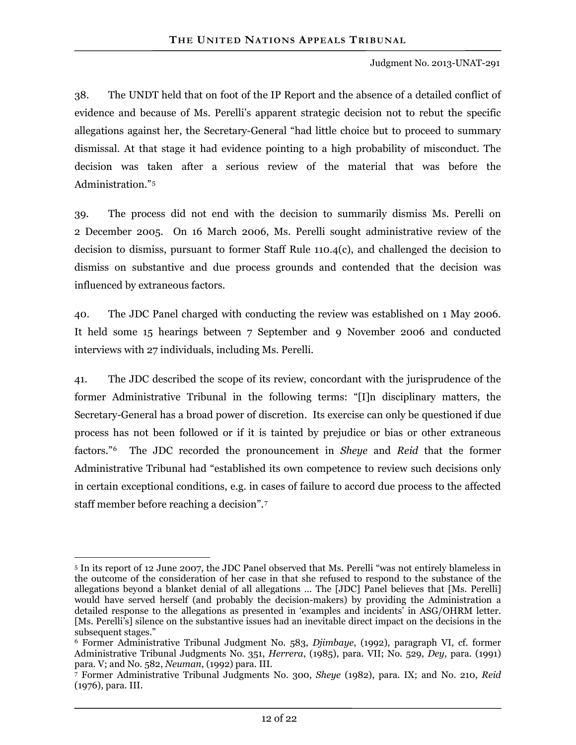38. The UNDT held that on foot of the IP Report and the absence of a detailed conflict of evidence and because of Ms. Perelli's apparent strategic decision not to rebut the specific allegations against her, the Secretary-General "had little choice but to proceed to summary dismissal. At that stage it had evidence pointing to a high probability of misconduct. The decision was taken after a serious review of the material that was before the Administration."5

dismiss on substantive and due process grounds and contended that the decision was influenced by extraneous factors. 39. The process did not end with the decision to summarily dismiss Ms. Perelli on 2 December 2005. On 16 March 2006, Ms. Perelli sought administrative review of the decision to dismiss, pursuant to former Staff Rule 110.4(c), and challenged the decision to

It held some 15 hearings between 7 September and 9 November 2006 and conducted interviews with 27 individuals, including Ms. Perelli. 40. The JDC Panel charged with conducting the review was established on 1 May 2006.

in certain exceptional conditions, e.g. in cases of failure to accord due process to the affected staff member before reaching a decision".7 41. The JDC described the scope of its review, concordant with the jurisprudence of the former Administrative Tribunal in the following terms: "[I]n disciplinary matters, the Secretary-General has a broad power of discretion. Its exercise can only be questioned if due process has not been followed or if it is tainted by prejudice or bias or other extraneous factors."6 The JDC recorded the pronouncement in *Sheye* and *Reid* that the former Administrative Tribunal had "established its own competence to review such decisions only

 $\overline{a}$ 5 In its report of 12 June 2007, the JDC Panel observed that Ms. Perelli "was not entirely blameless in the outcome of the consideration of her case in that she refused to respond to the substance of the allegations beyond a blanket denial of all allegations … The [JDC] Panel believes that [Ms. Perelli] would have served herself (and probably the decision-makers) by providing the Administration a detailed response to the allegations as presented in 'examples and incidents' in ASG/OHRM letter. [Ms. Perelli's] silence on the substantive issues had an inevitable direct impact on the decisions in the subsequent stages."

<sup>6</sup> Former Administrative Tribunal Judgment No. 583, *Djimbaye*, (1992), paragraph VI, cf. former Administrative Tribunal Judgments No. 351, *Herrera*, (1985), para. VII; No. 529, *Dey*, para. (1991)

para. V; and No. 582, *Neuman*, (1992) para. III. 7 Former Administrative Tribunal Judgments No. 300, *Sheye* (1982), para. IX; and No. 210, *Reid* (1976), para. III.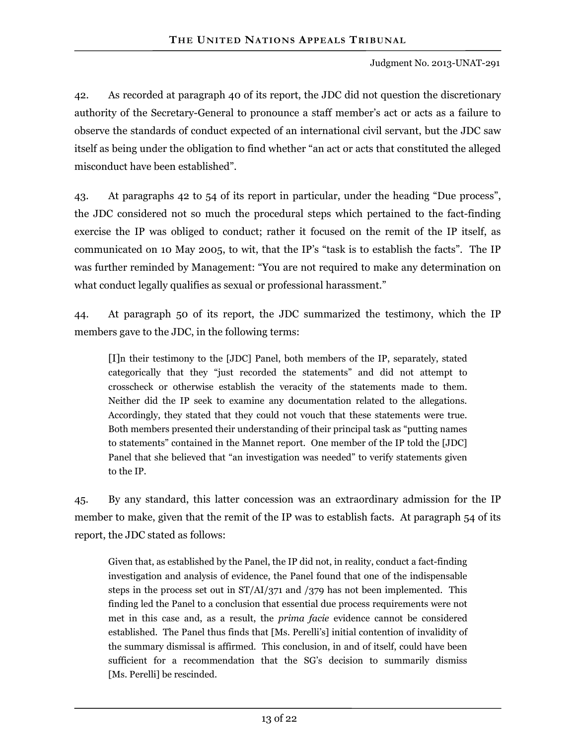42. As recorded at paragraph 40 of its report, the JDC did not question the discretionary authority of the Secretary-General to pronounce a staff member's act or acts as a failure to observe the standards of conduct expected of an international civil servant, but the JDC saw itself as being under the obligation to find whether "an act or acts that constituted the alleged misconduct have been established".

43. At paragraphs 42 to 54 of its report in particular, under the heading "Due process", the JDC considered not so much the procedural steps which pertained to the fact-finding exercise the IP was obliged to conduct; rather it focused on the remit of the IP itself, as communicated on 10 May 2005, to wit, that the IP's "task is to establish the facts". The IP was further reminded by Management: "You are not required to make any determination on what conduct legally qualifies as sexual or professional harassment."

44. At paragraph 50 of its report, the JDC summarized the testimony, which the IP members gave to the JDC, in the following terms:

[I]n their testimony to the [JDC] Panel, both members of the IP, separately, stated categorically that they "just recorded the statements" and did not attempt to crosscheck or otherwise establish the veracity of the statements made to them. Neither did the IP seek to examine any documentation related to the allegations. Accordingly, they stated that they could not vouch that these statements were true. Both members presented their understanding of their principal task as "putting names to statements" contained in the Mannet report. One member of the IP told the [JDC] Panel that she believed that "an investigation was needed" to verify statements given to the IP.

45. By any standard, this latter concession was an extraordinary admission for the IP member to make, given that the remit of the IP was to establish facts. At paragraph 54 of its report, the JDC stated as follows:

Given that, as established by the Panel, the IP did not, in reality, conduct a fact-finding investigation and analysis of evidence, the Panel found that one of the indispensable steps in the process set out in ST/AI/371 and /379 has not been implemented. This finding led the Panel to a conclusion that essential due process requirements were not met in this case and, as a result, the *prima facie* evidence cannot be considered established. The Panel thus finds that [Ms. Perelli's] initial contention of invalidity of the summary dismissal is affirmed. This conclusion, in and of itself, could have been sufficient for a recommendation that the SG's decision to summarily dismiss [Ms. Perelli] be rescinded.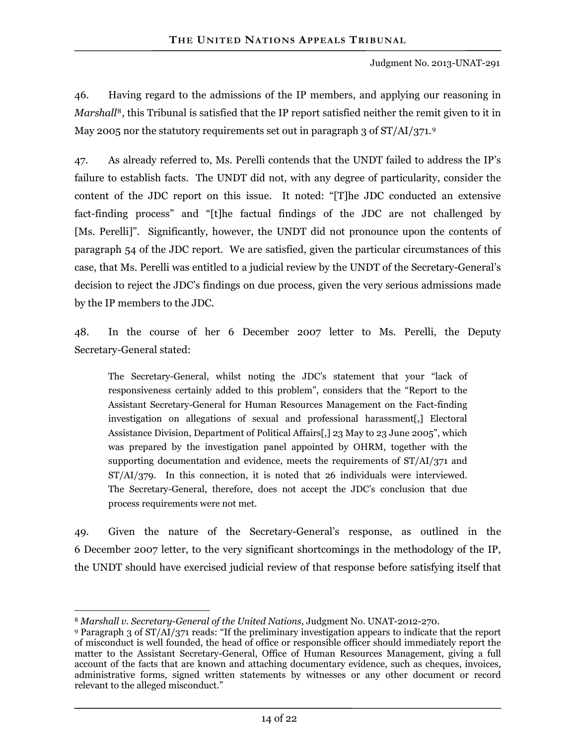46. Having regard to the admissions of the IP members, and applying our reasoning in *Marshall*<sup>8</sup>, this Tribunal is satisfied that the IP report satisfied neither the remit given to it in May 2005 nor the statutory requirements set out in paragraph 3 of ST/AI/371.9

47. As already referred to, Ms. Perelli contends that the UNDT failed to address the IP's failure to establish facts. The UNDT did not, with any degree of particularity, consider the content of the JDC report on this issue. It noted: "[T]he JDC conducted an extensive fact-finding process" and "[t]he factual findings of the JDC are not challenged by [Ms. Perelli]". Significantly, however, the UNDT did not pronounce upon the contents of paragraph 54 of the JDC report. We are satisfied, given the particular circumstances of this case, that Ms. Perelli was entitled to a judicial review by the UNDT of the Secretary-General's decision to reject the JDC's findings on due process, given the very serious admissions made by the IP members to the JDC.

48. In the course of her 6 December 2007 letter to Ms. Perelli, the Deputy Secretary-General stated:

The Secretary-General, whilst noting the JDC's statement that your "lack of responsiveness certainly added to this problem", considers that the "Report to the Assistant Secretary-General for Human Resources Management on the Fact-finding investigation on allegations of sexual and professional harassment[,] Electoral Assistance Division, Department of Political Affairs[,] 23 May to 23 June 2005", which was prepared by the investigation panel appointed by OHRM, together with the supporting documentation and evidence, meets the requirements of ST/AI/371 and ST/AI/379. In this connection, it is noted that 26 individuals were interviewed. The Secretary-General, therefore, does not accept the JDC's conclusion that due process requirements were not met.

49. Given the nature of the Secretary-General's response, as outlined in the 6 December 2007 letter, to the very significant shortcomings in the methodology of the IP, the UNDT should have exercised judicial review of that response before satisfying itself that

 $\overline{a}$ <sup>8</sup> *Marshall v. Secretary-General of the United Nations*, Judgment No. UNAT-2012-270.

<sup>9</sup> Paragraph 3 of ST/AI/371 reads: "If the preliminary investigation appears to indicate that the report of misconduct is well founded, the head of office or responsible officer should immediately report the matter to the Assistant Secretary-General, Office of Human Resources Management, giving a full account of the facts that are known and attaching documentary evidence, such as cheques, invoices, administrative forms, signed written statements by witnesses or any other document or record relevant to the alleged misconduct."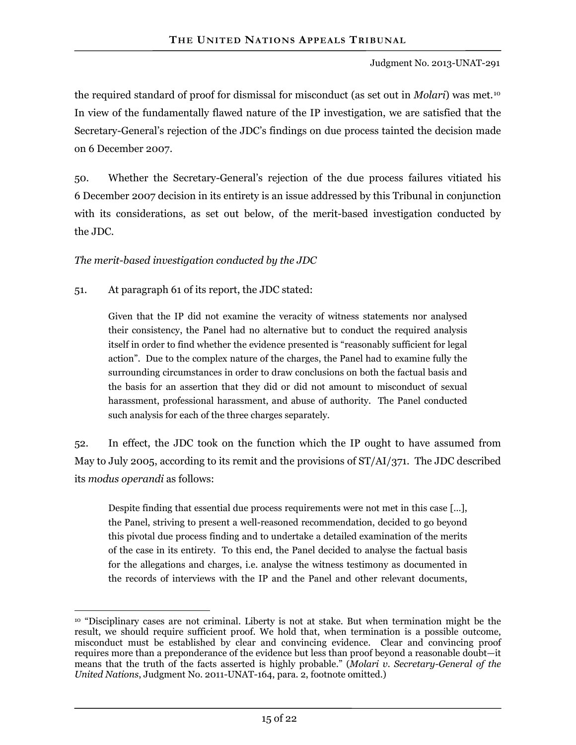the required standard of proof for dismissal for misconduct (as set out in *Molari*) was met.10 In view of the fundamentally flawed nature of the IP investigation, we are satisfied that the Secretary-General's rejection of the JDC's findings on due process tainted the decision made on 6 December 2007.

50. Whether the Secretary-General's rejection of the due process failures vitiated his 6 December 2007 decision in its entirety is an issue addressed by this Tribunal in conjunction with its considerations, as set out below, of the merit-based investigation conducted by the JDC.

*The merit-based investigation conducted by the JDC* 

51. At paragraph 61 of its report, the JDC stated:

Given that the IP did not examine the veracity of witness statements nor analysed their consistency, the Panel had no alternative but to conduct the required analysis itself in order to find whether the evidence presented is "reasonably sufficient for legal action". Due to the complex nature of the charges, the Panel had to examine fully the surrounding circumstances in order to draw conclusions on both the factual basis and the basis for an assertion that they did or did not amount to misconduct of sexual harassment, professional harassment, and abuse of authority. The Panel conducted such analysis for each of the three charges separately.

52. In effect, the JDC took on the function which the IP ought to have assumed from May to July 2005, according to its remit and the provisions of ST/AI/371. The JDC described its *modus operandi* as follows:

Despite finding that essential due process requirements were not met in this case […], the Panel, striving to present a well-reasoned recommendation, decided to go beyond this pivotal due process finding and to undertake a detailed examination of the merits of the case in its entirety. To this end, the Panel decided to analyse the factual basis for the allegations and charges, i.e. analyse the witness testimony as documented in the records of interviews with the IP and the Panel and other relevant documents,

 $\overline{a}$ 10 "Disciplinary cases are not criminal. Liberty is not at stake. But when termination might be the result, we should require sufficient proof. We hold that, when termination is a possible outcome, misconduct must be established by clear and convincing evidence. Clear and convincing proof requires more than a preponderance of the evidence but less than proof beyond a reasonable doubt—it means that the truth of the facts asserted is highly probable." (*Molari v. Secretary-General of the United Nations*, Judgment No. 2011-UNAT-164, para. 2, footnote omitted.)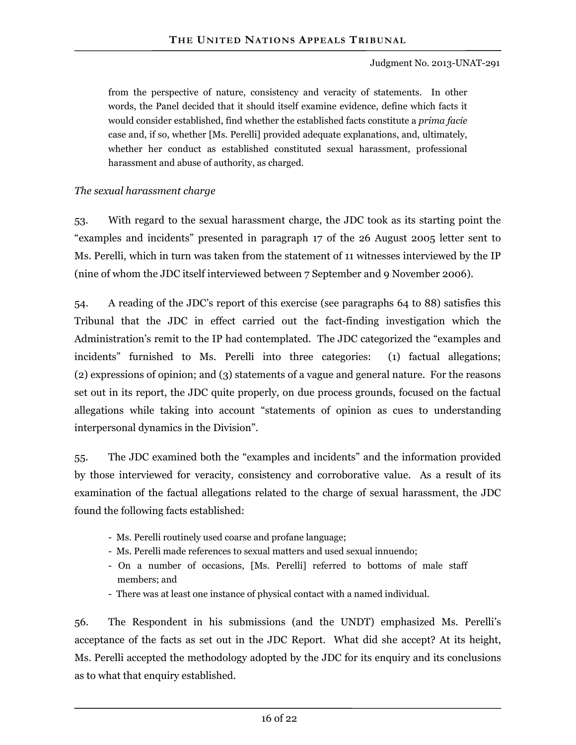from the perspective of nature, consistency and veracity of statements. In other words, the Panel decided that it should itself examine evidence, define which facts it would consider established, find whether the established facts constitute a *prima facie* case and, if so, whether [Ms. Perelli] provided adequate explanations, and, ultimately, whether her conduct as established constituted sexual harassment, professional harassment and abuse of authority, as charged.

#### *The sexual harassment charge*

53. With regard to the sexual harassment charge, the JDC took as its starting point the "examples and incidents" presented in paragraph 17 of the 26 August 2005 letter sent to Ms. Perelli, which in turn was taken from the statement of 11 witnesses interviewed by the IP (nine of whom the JDC itself interviewed between 7 September and 9 November 2006).

54. A reading of the JDC's report of this exercise (see paragraphs 64 to 88) satisfies this Tribunal that the JDC in effect carried out the fact-finding investigation which the Administration's remit to the IP had contemplated. The JDC categorized the "examples and incidents" furnished to Ms. Perelli into three categories: (1) factual allegations; (2) expressions of opinion; and (3) statements of a vague and general nature. For the reasons set out in its report, the JDC quite properly, on due process grounds, focused on the factual allegations while taking into account "statements of opinion as cues to understanding interpersonal dynamics in the Division".

55. The JDC examined both the "examples and incidents" and the information provided by those interviewed for veracity, consistency and corroborative value. As a result of its examination of the factual allegations related to the charge of sexual harassment, the JDC found the following facts established:

- Ms. Perelli routinely used coarse and profane language;
- Ms. Perelli made references to sexual matters and used sexual innuendo;
- On a number of occasions, [Ms. Perelli] referred to bottoms of male staff members; and
- There was at least one instance of physical contact with a named individual.

56. The Respondent in his submissions (and the UNDT) emphasized Ms. Perelli's acceptance of the facts as set out in the JDC Report. What did she accept? At its height, Ms. Perelli accepted the methodology adopted by the JDC for its enquiry and its conclusions as to what that enquiry established.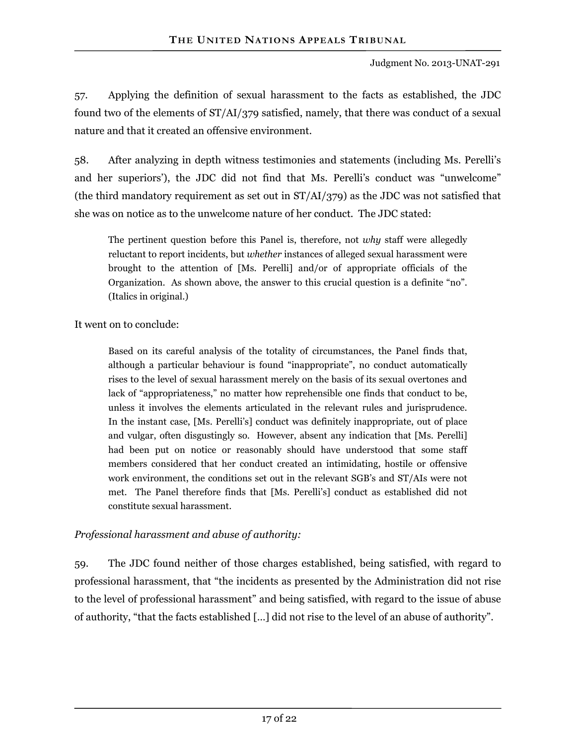57. Applying the definition of sexual harassment to the facts as established, the JDC found two of the elements of ST/AI/379 satisfied, namely, that there was conduct of a sexual nature and that it created an offensive environment.

58. After analyzing in depth witness testimonies and statements (including Ms. Perelli's and her superiors'), the JDC did not find that Ms. Perelli's conduct was "unwelcome" (the third mandatory requirement as set out in ST/AI/379) as the JDC was not satisfied that she was on notice as to the unwelcome nature of her conduct. The JDC stated:

The pertinent question before this Panel is, therefore, not *why* staff were allegedly reluctant to report incidents, but *whether* instances of alleged sexual harassment were brought to the attention of [Ms. Perelli] and/or of appropriate officials of the Organization. As shown above, the answer to this crucial question is a definite "no". (Italics in original.)

It went on to conclude:

Based on its careful analysis of the totality of circumstances, the Panel finds that, although a particular behaviour is found "inappropriate", no conduct automatically rises to the level of sexual harassment merely on the basis of its sexual overtones and lack of "appropriateness," no matter how reprehensible one finds that conduct to be, unless it involves the elements articulated in the relevant rules and jurisprudence. In the instant case, [Ms. Perelli's] conduct was definitely inappropriate, out of place and vulgar, often disgustingly so. However, absent any indication that [Ms. Perelli] had been put on notice or reasonably should have understood that some staff members considered that her conduct created an intimidating, hostile or offensive work environment, the conditions set out in the relevant SGB's and ST/AIs were not met. The Panel therefore finds that [Ms. Perelli's] conduct as established did not constitute sexual harassment.

#### *Professional harassment and abuse of authority:*

59. The JDC found neither of those charges established, being satisfied, with regard to professional harassment, that "the incidents as presented by the Administration did not rise to the level of professional harassment" and being satisfied, with regard to the issue of abuse of authority, "that the facts established […] did not rise to the level of an abuse of authority".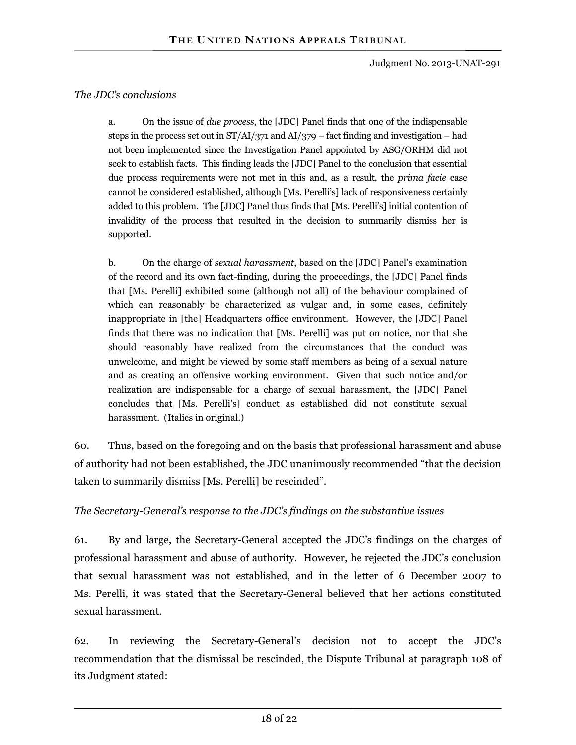#### *The JDC's conclusions*

a. On the issue of *due process*, the [JDC] Panel finds that one of the indispensable steps in the process set out in ST/AI/371 and AI/379 – fact finding and investigation – had not been implemented since the Investigation Panel appointed by ASG/ORHM did not seek to establish facts. This finding leads the [JDC] Panel to the conclusion that essential due process requirements were not met in this and, as a result, the *prima facie* case cannot be considered established, although [Ms. Perelli's] lack of responsiveness certainly added to this problem. The [JDC] Panel thus finds that [Ms. Perelli's] initial contention of invalidity of the process that resulted in the decision to summarily dismiss her is supported.

b. On the charge of *sexual harassment*, based on the [JDC] Panel's examination of the record and its own fact-finding, during the proceedings, the [JDC] Panel finds that [Ms. Perelli] exhibited some (although not all) of the behaviour complained of which can reasonably be characterized as vulgar and, in some cases, definitely inappropriate in [the] Headquarters office environment. However, the [JDC] Panel finds that there was no indication that [Ms. Perelli] was put on notice, nor that she should reasonably have realized from the circumstances that the conduct was unwelcome, and might be viewed by some staff members as being of a sexual nature and as creating an offensive working environment. Given that such notice and/or realization are indispensable for a charge of sexual harassment, the [JDC] Panel concludes that [Ms. Perelli's] conduct as established did not constitute sexual harassment. (Italics in original.)

60. Thus, based on the foregoing and on the basis that professional harassment and abuse of authority had not been established, the JDC unanimously recommended "that the decision taken to summarily dismiss [Ms. Perelli] be rescinded".

#### *The Secretary-General's response to the JDC's findings on the substantive issues*

61. By and large, the Secretary-General accepted the JDC's findings on the charges of professional harassment and abuse of authority. However, he rejected the JDC's conclusion that sexual harassment was not established, and in the letter of 6 December 2007 to Ms. Perelli, it was stated that the Secretary-General believed that her actions constituted sexual harassment.

62. In reviewing the Secretary-General's decision not to accept the JDC's recommendation that the dismissal be rescinded, the Dispute Tribunal at paragraph 108 of its Judgment stated: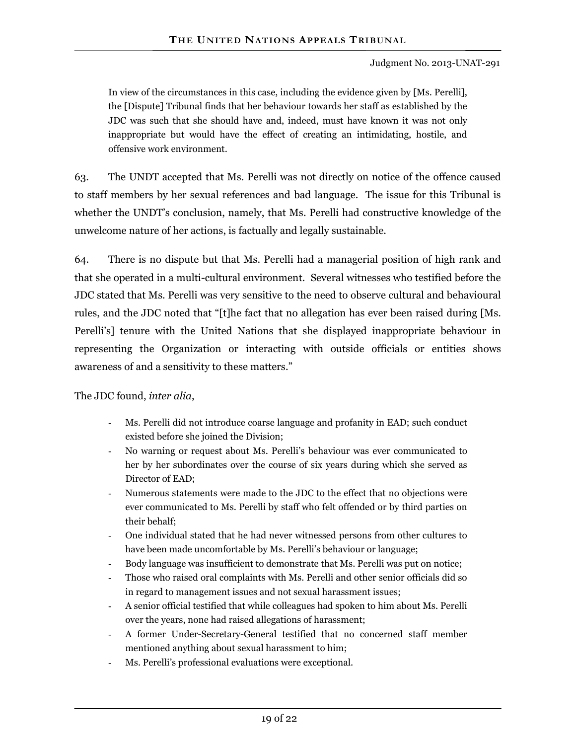In view of the circumstances in this case, including the evidence given by [Ms. Perelli], the [Dispute] Tribunal finds that her behaviour towards her staff as established by the JDC was such that she should have and, indeed, must have known it was not only inappropriate but would have the effect of creating an intimidating, hostile, and offensive work environment.

63. The UNDT accepted that Ms. Perelli was not directly on notice of the offence caused to staff members by her sexual references and bad language. The issue for this Tribunal is whether the UNDT's conclusion, namely, that Ms. Perelli had constructive knowledge of the unwelcome nature of her actions, is factually and legally sustainable.

64. There is no dispute but that Ms. Perelli had a managerial position of high rank and that she operated in a multi-cultural environment. Several witnesses who testified before the JDC stated that Ms. Perelli was very sensitive to the need to observe cultural and behavioural rules, and the JDC noted that "[t]he fact that no allegation has ever been raised during [Ms. Perelli's] tenure with the United Nations that she displayed inappropriate behaviour in representing the Organization or interacting with outside officials or entities shows awareness of and a sensitivity to these matters."

#### The JDC found, *inter alia*,

- Ms. Perelli did not introduce coarse language and profanity in EAD; such conduct existed before she joined the Division;
- No warning or request about Ms. Perelli's behaviour was ever communicated to her by her subordinates over the course of six years during which she served as Director of EAD;
- Numerous statements were made to the JDC to the effect that no objections were ever communicated to Ms. Perelli by staff who felt offended or by third parties on their behalf;
- One individual stated that he had never witnessed persons from other cultures to have been made uncomfortable by Ms. Perelli's behaviour or language;
- Body language was insufficient to demonstrate that Ms. Perelli was put on notice;
- Those who raised oral complaints with Ms. Perelli and other senior officials did so in regard to management issues and not sexual harassment issues;
- A senior official testified that while colleagues had spoken to him about Ms. Perelli over the years, none had raised allegations of harassment;
- A former Under-Secretary-General testified that no concerned staff member mentioned anything about sexual harassment to him;
- Ms. Perelli's professional evaluations were exceptional.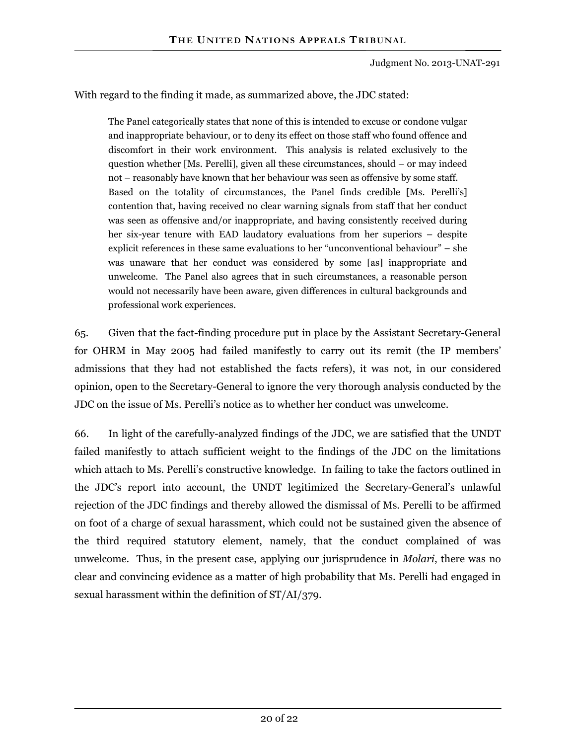With regard to the finding it made, as summarized above, the JDC stated:

The Panel categorically states that none of this is intended to excuse or condone vulgar and inappropriate behaviour, or to deny its effect on those staff who found offence and discomfort in their work environment. This analysis is related exclusively to the question whether [Ms. Perelli], given all these circumstances, should – or may indeed not – reasonably have known that her behaviour was seen as offensive by some staff. Based on the totality of circumstances, the Panel finds credible [Ms. Perelli's] contention that, having received no clear warning signals from staff that her conduct was seen as offensive and/or inappropriate, and having consistently received during her six-year tenure with EAD laudatory evaluations from her superiors – despite explicit references in these same evaluations to her "unconventional behaviour" – she was unaware that her conduct was considered by some [as] inappropriate and unwelcome. The Panel also agrees that in such circumstances, a reasonable person would not necessarily have been aware, given differences in cultural backgrounds and professional work experiences.

65. Given that the fact-finding procedure put in place by the Assistant Secretary-General for OHRM in May 2005 had failed manifestly to carry out its remit (the IP members' admissions that they had not established the facts refers), it was not, in our considered opinion, open to the Secretary-General to ignore the very thorough analysis conducted by the JDC on the issue of Ms. Perelli's notice as to whether her conduct was unwelcome.

66. In light of the carefully-analyzed findings of the JDC, we are satisfied that the UNDT failed manifestly to attach sufficient weight to the findings of the JDC on the limitations which attach to Ms. Perelli's constructive knowledge. In failing to take the factors outlined in the JDC's report into account, the UNDT legitimized the Secretary-General's unlawful rejection of the JDC findings and thereby allowed the dismissal of Ms. Perelli to be affirmed on foot of a charge of sexual harassment, which could not be sustained given the absence of the third required statutory element, namely, that the conduct complained of was unwelcome. Thus, in the present case, applying our jurisprudence in *Molari*, there was no clear and convincing evidence as a matter of high probability that Ms. Perelli had engaged in sexual harassment within the definition of ST/AI/379.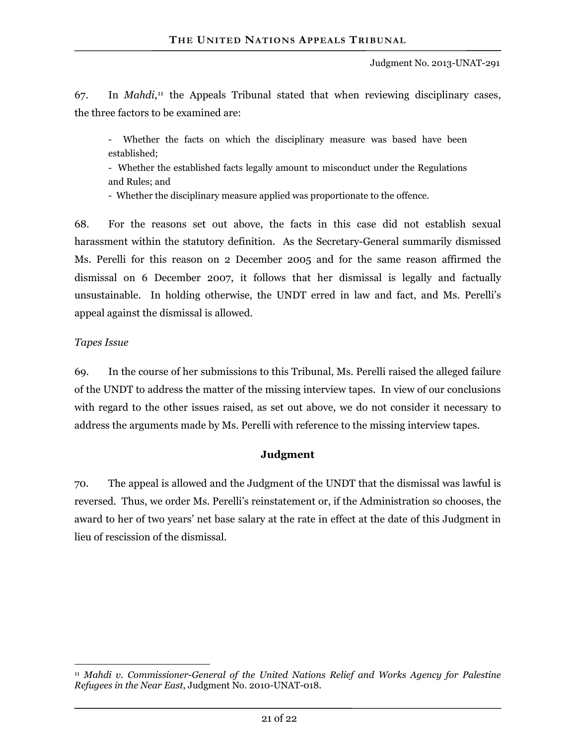67. In *Mahdi*,11 the Appeals Tribunal stated that when reviewing disciplinary cases, the three factors to be examined are:

- Whether the facts on which the disciplinary measure was based have been established;

- Whether the established facts legally amount to misconduct under the Regulations and Rules; and

- Whether the disciplinary measure applied was proportionate to the offence.

68. For the reasons set out above, the facts in this case did not establish sexual harassment within the statutory definition. As the Secretary-General summarily dismissed Ms. Perelli for this reason on 2 December 2005 and for the same reason affirmed the dismissal on 6 December 2007, it follows that her dismissal is legally and factually unsustainable. In holding otherwise, the UNDT erred in law and fact, and Ms. Perelli's appeal against the dismissal is allowed.

#### *Tapes Issue*

69. In the course of her submissions to this Tribunal, Ms. Perelli raised the alleged failure of the UNDT to address the matter of the missing interview tapes. In view of our conclusions with regard to the other issues raised, as set out above, we do not consider it necessary to address the arguments made by Ms. Perelli with reference to the missing interview tapes.

#### **Judgment**

70. The appeal is allowed and the Judgment of the UNDT that the dismissal was lawful is reversed. Thus, we order Ms. Perelli's reinstatement or, if the Administration so chooses, the award to her of two years' net base salary at the rate in effect at the date of this Judgment in lieu of rescission of the dismissal.

 $\overline{a}$ <sup>11</sup> *Mahdi v. Commissioner-General of the United Nations Relief and Works Agency for Palestine Refugees in the Near East*, Judgment No. 2010-UNAT-018.